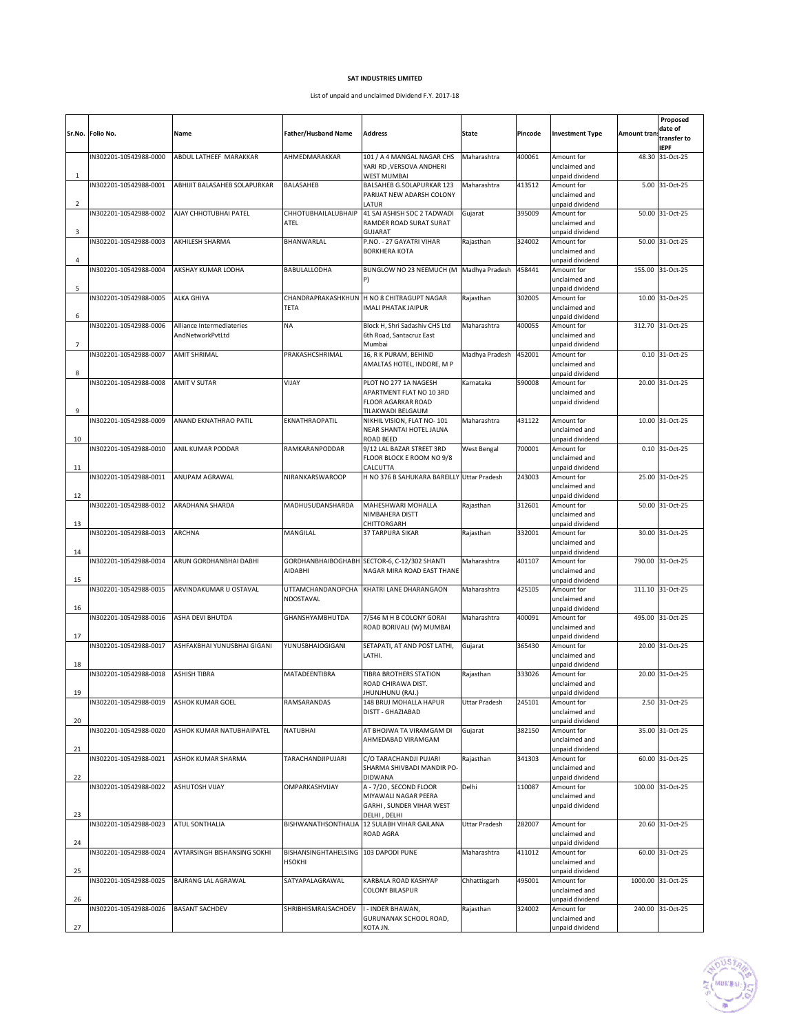## **SAT INDUSTRIES LIMITED**

List of unpaid and unclaimed Dividend F.Y. 2017-18

|                |                        |                                               |                                       |                                                        |                |         |                                  |                    | Proposed                   |
|----------------|------------------------|-----------------------------------------------|---------------------------------------|--------------------------------------------------------|----------------|---------|----------------------------------|--------------------|----------------------------|
|                | Sr.No. Folio No.       | Name                                          | <b>Father/Husband Name</b>            | <b>Address</b>                                         | <b>State</b>   | Pincode | <b>Investment Type</b>           | <b>Amount trar</b> | date of                    |
|                |                        |                                               |                                       |                                                        |                |         |                                  |                    | transfer to<br><b>IEPF</b> |
|                | IN302201-10542988-0000 | ABDUL LATHEEF MARAKKAR                        | AHMEDMARAKKAR                         | 101 / A 4 MANGAL NAGAR CHS                             | Maharashtra    | 400061  | Amount for                       |                    | 48.30 31-Oct-25            |
|                |                        |                                               |                                       | YARI RD , VERSOVA ANDHERI                              |                |         | unclaimed and                    |                    |                            |
| 1              |                        |                                               |                                       | WEST MUMBAI                                            |                |         | unpaid dividend                  |                    |                            |
|                | IN302201-10542988-0001 | ABHIJIT BALASAHEB SOLAPURKAR                  | BALASAHEB                             | BALSAHEB G.SOLAPURKAR 123<br>PARIJAT NEW ADARSH COLONY | Maharashtra    | 413512  | Amount for<br>unclaimed and      |                    | 5.00 31-Oct-25             |
| $\overline{2}$ |                        |                                               |                                       | LATUR                                                  |                |         | unpaid dividend                  |                    |                            |
|                | IN302201-10542988-0002 | AJAY CHHOTUBHAI PATEL                         | CHHOTUBHAILALUBHAIP                   | 41 SAI ASHISH SOC 2 TADWADI                            | Gujarat        | 395009  | Amount for                       |                    | 50.00 31-Oct-25            |
|                |                        |                                               | ATEL                                  | RAMDER ROAD SURAT SURAT                                |                |         | unclaimed and                    |                    |                            |
| 3              | IN302201-10542988-0003 | AKHILESH SHARMA                               | BHANWARLAL                            | <b>GUJARAT</b><br>P.NO. - 27 GAYATRI VIHAR             | Rajasthan      | 324002  | unpaid dividend<br>Amount for    |                    | 50.00 31-Oct-25            |
|                |                        |                                               |                                       | <b>BORKHERA KOTA</b>                                   |                |         | unclaimed and                    |                    |                            |
| 4              |                        |                                               |                                       |                                                        |                |         | unpaid dividend                  |                    |                            |
|                | IN302201-10542988-0004 | AKSHAY KUMAR LODHA                            | BABULALLODHA                          | BUNGLOW NO 23 NEEMUCH (M Madhya Pradesh                |                | 458441  | Amount for                       |                    | 155.00 31-Oct-25           |
| 5              |                        |                                               |                                       |                                                        |                |         | unclaimed and<br>unpaid dividend |                    |                            |
|                | IN302201-10542988-0005 | ALKA GHIYA                                    | CHANDRAPRAKASHKHUN                    | H NO 8 CHITRAGUPT NAGAR                                | Rajasthan      | 302005  | Amount for                       |                    | 10.00 31-Oct-25            |
|                |                        |                                               | TETA                                  | IMALI PHATAK JAIPUR                                    |                |         | unclaimed and                    |                    |                            |
| 6              |                        |                                               |                                       |                                                        |                |         | unpaid dividend                  |                    |                            |
|                | IN302201-10542988-0006 | Alliance Intermediateries<br>AndNetworkPvtLtd | NA                                    | Block H, Shri Sadashiv CHS Ltd                         | Maharashtra    | 400055  | Amount for                       |                    | 312.70 31-Oct-25           |
| $\overline{7}$ |                        |                                               |                                       | 6th Road, Santacruz East<br>Mumbai                     |                |         | unclaimed and<br>unpaid dividend |                    |                            |
|                | IN302201-10542988-0007 | AMIT SHRIMAL                                  | PRAKASHCSHRIMAL                       | 16, R K PURAM, BEHIND                                  | Madhya Pradesh | 452001  | Amount for                       |                    | 0.10 31-Oct-25             |
|                |                        |                                               |                                       | AMALTAS HOTEL, INDORE, M P                             |                |         | unclaimed and                    |                    |                            |
| 8              |                        |                                               |                                       |                                                        |                |         | unpaid dividend                  |                    |                            |
|                | IN302201-10542988-0008 | AMIT V SUTAR                                  | VIJAY                                 | PLOT NO 277 1A NAGESH                                  | Karnataka      | 590008  | Amount for                       |                    | 20.00 31-Oct-25            |
|                |                        |                                               |                                       | APARTMENT FLAT NO 10 3RD<br>FLOOR AGARKAR ROAD         |                |         | unclaimed and<br>unpaid dividend |                    |                            |
| 9              |                        |                                               |                                       | TILAKWADI BELGAUM                                      |                |         |                                  |                    |                            |
|                | IN302201-10542988-0009 | ANAND EKNATHRAO PATIL                         | EKNATHRAOPATIL                        | NIKHIL VISION, FLAT NO-101                             | Maharashtra    | 431122  | Amount for                       |                    | 10.00 31-Oct-25            |
|                |                        |                                               |                                       | NEAR SHANTAI HOTEL JALNA                               |                |         | unclaimed and                    |                    |                            |
| 10             | IN302201-10542988-0010 | ANIL KUMAR PODDAR                             | RAMKARANPODDAR                        | ROAD BEED<br>9/12 LAL BAZAR STREET 3RD                 | West Bengal    | 700001  | unpaid dividend<br>Amount for    |                    | 0.10 31-Oct-25             |
|                |                        |                                               |                                       | FLOOR BLOCK E ROOM NO 9/8                              |                |         | unclaimed and                    |                    |                            |
| 11             |                        |                                               |                                       | CALCUTTA                                               |                |         | unpaid dividend                  |                    |                            |
|                | IN302201-10542988-0011 | ANUPAM AGRAWAL                                | NIRANKARSWAROOP                       | H NO 376 B SAHUKARA BAREILLY Uttar Pradesh             |                | 243003  | Amount for                       |                    | 25.00 31-Oct-25            |
| 12             |                        |                                               |                                       |                                                        |                |         | unclaimed and<br>unpaid dividend |                    |                            |
|                | IN302201-10542988-0012 | ARADHANA SHARDA                               | MADHUSUDANSHARDA                      | MAHESHWARI MOHALLA                                     | Rajasthan      | 312601  | Amount for                       |                    | 50.00 31-Oct-25            |
|                |                        |                                               |                                       | NIMBAHERA DISTT                                        |                |         | unclaimed and                    |                    |                            |
| 13             |                        |                                               |                                       | CHITTORGARH                                            |                |         | unpaid dividend                  |                    |                            |
|                | IN302201-10542988-0013 | ARCHNA                                        | MANGILAL                              | 37 TARPURA SIKAR                                       | Rajasthan      | 332001  | Amount for                       |                    | 30.00 31-Oct-25            |
| 14             |                        |                                               |                                       |                                                        |                |         | unclaimed and<br>unpaid dividend |                    |                            |
|                | IN302201-10542988-0014 | ARUN GORDHANBHAI DABHI                        | GORDHANBHAIBOGHABH                    | SECTOR-6, C-12/302 SHANTI                              | Maharashtra    | 401107  | Amount for                       | 790.00             | 31-Oct-25                  |
|                |                        |                                               | AIDABHI                               | NAGAR MIRA ROAD EAST THANE                             |                |         | unclaimed and                    |                    |                            |
| 15             |                        |                                               |                                       |                                                        |                |         | unpaid dividend                  |                    |                            |
|                | IN302201-10542988-0015 | ARVINDAKUMAR U OSTAVAL                        | <b>UTTAMCHANDANOPCHA</b><br>NDOSTAVAL | KHATRI LANE DHARANGAON                                 | Maharashtra    | 425105  | Amount for<br>unclaimed and      |                    | 111.10 31-Oct-25           |
| 16             |                        |                                               |                                       |                                                        |                |         | unpaid dividend                  |                    |                            |
|                | IN302201-10542988-0016 | ASHA DEVI BHUTDA                              | GHANSHYAMBHUTDA                       | 7/546 M H B COLONY GORAI                               | Maharashtra    | 400091  | Amount for                       |                    | 495.00 31-Oct-25           |
|                |                        |                                               |                                       | ROAD BORIVALI (W) MUMBAI                               |                |         | unclaimed and                    |                    |                            |
| 17             | IN302201-10542988-0017 | ASHFAKBHAI YUNUSBHAI GIGANI                   | YUNUSBHAIOGIGANI                      | SETAPATI, AT AND POST LATHI,                           | Gujarat        | 365430  | unpaid dividend<br>Amount for    |                    | 20.00 31-Oct-25            |
|                |                        |                                               |                                       | LATHI.                                                 |                |         | unclaimed and                    |                    |                            |
| 18             |                        |                                               |                                       |                                                        |                |         | unpaid dividend                  |                    |                            |
|                | IN302201-10542988-0018 | <b>ASHISH TIBRA</b>                           | MATADEENTIBRA                         | TIBRA BROTHERS STATION                                 | Rajasthan      | 333026  | Amount for                       |                    | 20.00 31-Oct-25            |
| 19             |                        |                                               |                                       | ROAD CHIRAWA DIST.<br>JHUNJHUNU (RAJ.)                 |                |         | unclaimed and<br>unpaid dividend |                    |                            |
|                | IN302201-10542988-0019 | ASHOK KUMAR GOEL                              | RAMSARANDAS                           | 148 BRUJ MOHALLA HAPUR                                 | Uttar Pradesh  | 245101  | Amount for                       |                    | 2.50 31-Oct-25             |
|                |                        |                                               |                                       | DISTT - GHAZIABAD                                      |                |         | unclaimed and                    |                    |                            |
| 20             |                        |                                               |                                       | AT BHOJWA TA VIRAMGAM DI                               |                |         | unpaid dividend                  |                    |                            |
|                | IN302201-10542988-0020 | ASHOK KUMAR NATUBHAIPATEL                     | <b>NATUBHAI</b>                       | AHMEDABAD VIRAMGAM                                     | Gujarat        | 382150  | Amount for<br>unclaimed and      |                    | 35.00 31-Oct-25            |
| 21             |                        |                                               |                                       |                                                        |                |         | unpaid dividend                  |                    |                            |
|                | IN302201-10542988-0021 | ASHOK KUMAR SHARMA                            | TARACHANDJIPUJARI                     | C/O TARACHANDJI PUJARI                                 | Rajasthan      | 341303  | Amount for                       |                    | 60.00 31-Oct-25            |
|                |                        |                                               |                                       | SHARMA SHIVBADI MANDIR PO-                             |                |         | unclaimed and                    |                    |                            |
| 22             | IN302201-10542988-0022 | <b>ASHUTOSH VIJAY</b>                         | OMPARKASHVIJAY                        | <b>DIDWANA</b><br>A - 7/20, SECOND FLOOR               | Delhi          | 110087  | unpaid dividend<br>Amount for    |                    | 100.00 31-Oct-25           |
|                |                        |                                               |                                       | MIYAWALI NAGAR PEERA                                   |                |         | unclaimed and                    |                    |                            |
|                |                        |                                               |                                       | GARHI, SUNDER VIHAR WEST                               |                |         | unpaid dividend                  |                    |                            |
| 23             |                        |                                               |                                       | DELHI, DELHI                                           |                |         |                                  |                    |                            |
|                | IN302201-10542988-0023 | ATUL SONTHALIA                                | BISHWANATHSONTHALIA                   | 12 SULABH VIHAR GAILANA<br>ROAD AGRA                   | Uttar Pradesh  | 282007  | Amount for<br>unclaimed and      |                    | 20.60 31-Oct-25            |
| 24             |                        |                                               |                                       |                                                        |                |         | unpaid dividend                  |                    |                            |
|                | IN302201-10542988-0024 | AVTARSINGH BISHANSING SOKHI                   | BISHANSINGHTAHELSING                  | 103 DAPODI PUNE                                        | Maharashtra    | 411012  | Amount for                       |                    | 60.00 31-Oct-25            |
|                |                        |                                               | <b>HSOKHI</b>                         |                                                        |                |         | unclaimed and                    |                    |                            |
| 25             | IN302201-10542988-0025 | BAJRANG LAL AGRAWAL                           | SATYAPALAGRAWAL                       | KARBALA ROAD KASHYAP                                   | Chhattisgarh   | 495001  | unpaid dividend<br>Amount for    |                    | 1000.00 31-Oct-25          |
|                |                        |                                               |                                       | COLONY BILASPUR                                        |                |         | unclaimed and                    |                    |                            |
| 26             |                        |                                               |                                       |                                                        |                |         | unpaid dividend                  |                    |                            |
|                | IN302201-10542988-0026 | <b>BASANT SACHDEV</b>                         | SHRIBHISMRAJSACHDEV                   | I - INDER BHAWAN,                                      | Rajasthan      | 324002  | Amount for                       |                    | 240.00 31-Oct-25           |
| 27             |                        |                                               |                                       | GURUNANAK SCHOOL ROAD,<br>KOTA JN.                     |                |         | unclaimed and<br>unpaid dividend |                    |                            |

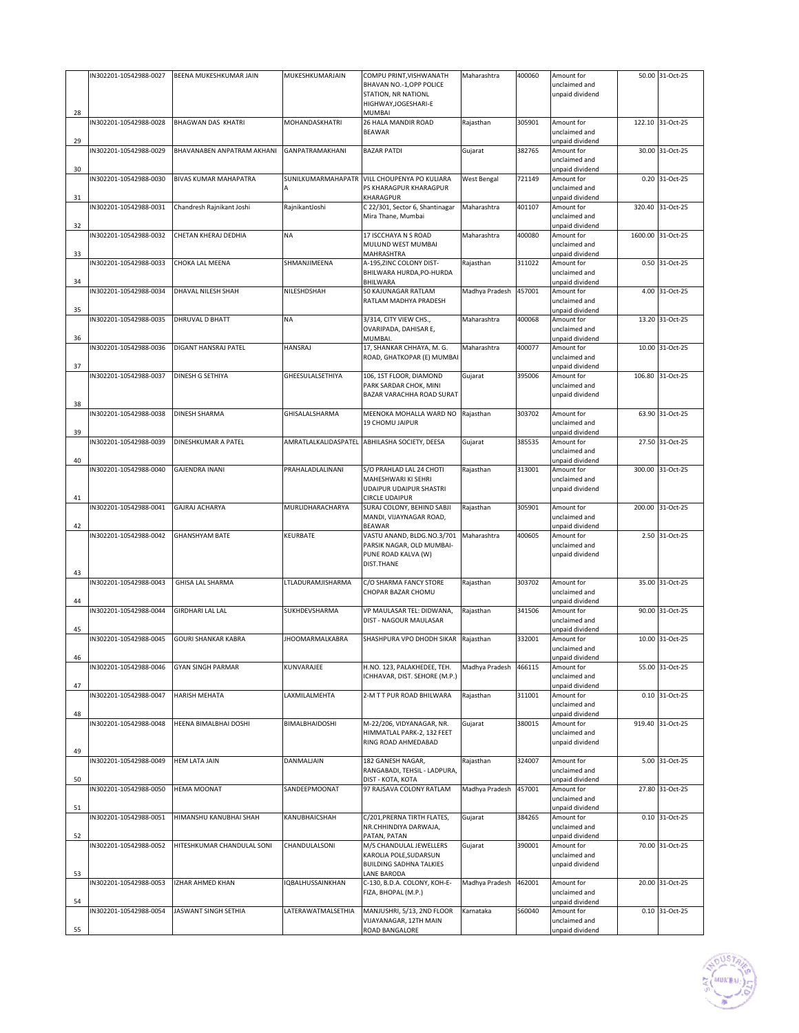|    | IN302201-10542988-0027 | BEENA MUKESHKUMAR JAIN       | MUKESHKUMARJAIN        | COMPU PRINT, VISHWANATH                                                                             | Maharashtra    | 400060 | Amount for                                     |        | 50.00 31-Oct-25   |
|----|------------------------|------------------------------|------------------------|-----------------------------------------------------------------------------------------------------|----------------|--------|------------------------------------------------|--------|-------------------|
| 28 |                        |                              |                        | BHAVAN NO.-1,OPP POLICE<br>STATION, NR NATIONL<br>HIGHWAY, JOGESHARI-E<br><b>MUMBAI</b>             |                |        | unclaimed and<br>unpaid dividend               |        |                   |
| 29 | IN302201-10542988-0028 | <b>BHAGWAN DAS KHATRI</b>    | MOHANDASKHATRI         | 26 HALA MANDIR ROAD<br><b>BEAWAR</b>                                                                | Rajasthan      | 305901 | Amount for<br>unclaimed and<br>unpaid dividend |        | 122.10 31-Oct-25  |
| 30 | IN302201-10542988-0029 | BHAVANABEN ANPATRAM AKHANI   | GANPATRAMAKHANI        | <b>BAZAR PATDI</b>                                                                                  | Gujarat        | 382765 | Amount for<br>unclaimed and<br>unpaid dividend | 30.00  | 31-Oct-25         |
| 31 | IN302201-10542988-0030 | <b>BIVAS KUMAR MAHAPATRA</b> | SUNILKUMARMAHAPATR     | VILL CHOUPENYA PO KULIARA<br>PS KHARAGPUR KHARAGPUR<br>KHARAGPUR                                    | West Bengal    | 721149 | Amount for<br>unclaimed and<br>unpaid dividend | 0.20   | 31-Oct-25         |
| 32 | IN302201-10542988-0031 | Chandresh Rajnikant Joshi    | RajnikantJoshi         | C 22/301, Sector 6, Shantinagar<br>Mira Thane, Mumbai                                               | Maharashtra    | 401107 | Amount for<br>unclaimed and<br>unpaid dividend | 320.40 | 31-Oct-25         |
| 33 | IN302201-10542988-0032 | CHETAN KHERAJ DEDHIA         | <b>NA</b>              | 17 ISCCHAYA N S ROAD<br>MULUND WEST MUMBAI<br>MAHRASHTRA                                            | Maharashtra    | 400080 | Amount for<br>unclaimed and<br>unpaid dividend |        | 1600.00 31-Oct-25 |
| 34 | IN302201-10542988-0033 | CHOKA LAL MEENA              | SHMANJIMEENA           | A-195,ZINC COLONY DIST-<br>BHILWARA HURDA, PO-HURDA<br><b>BHILWARA</b>                              | Rajasthan      | 311022 | Amount for<br>unclaimed and<br>unpaid dividend |        | 0.50 31-Oct-25    |
| 35 | IN302201-10542988-0034 | DHAVAL NILESH SHAH           | NILESHDSHAH            | 50 KAJUNAGAR RATLAM<br>RATLAM MADHYA PRADESH                                                        | Madhya Pradesh | 457001 | Amount for<br>unclaimed and<br>unpaid dividend |        | 4.00 31-Oct-25    |
| 36 | IN302201-10542988-0035 | DHRUVAL D BHATT              | <b>NA</b>              | 3/314, CITY VIEW CHS.,<br>OVARIPADA, DAHISAR E,<br>MUMBAI.                                          | Maharashtra    | 400068 | Amount for<br>unclaimed and<br>unpaid dividend |        | 13.20 31-Oct-25   |
| 37 | IN302201-10542988-0036 | DIGANT HANSRAJ PATEL         | <b>HANSRAJ</b>         | 17, SHANKAR CHHAYA, M. G.<br>ROAD, GHATKOPAR (E) MUMBAI                                             | Maharashtra    | 400077 | Amount for<br>unclaimed and<br>unpaid dividend |        | 10.00 31-Oct-25   |
| 38 | IN302201-10542988-0037 | DINESH G SETHIYA             | GHEESULALSETHIYA       | 106, 1ST FLOOR, DIAMOND<br>PARK SARDAR CHOK, MINI<br>BAZAR VARACHHA ROAD SURAT                      | Gujarat        | 395006 | Amount for<br>unclaimed and<br>unpaid dividend |        | 106.80 31-Oct-25  |
| 39 | IN302201-10542988-0038 | <b>DINESH SHARMA</b>         | GHISALALSHARMA         | MEENOKA MOHALLA WARD NO<br>19 CHOMU JAIPUR                                                          | Rajasthan      | 303702 | Amount for<br>unclaimed and<br>unpaid dividend |        | 63.90 31-Oct-25   |
| 40 | IN302201-10542988-0039 | DINESHKUMAR A PATEL          | AMRATLALKALIDASPATEL   | ABHILASHA SOCIETY, DEESA                                                                            | Gujarat        | 385535 | Amount for<br>unclaimed and<br>unpaid dividend |        | 27.50 31-Oct-25   |
| 41 | IN302201-10542988-0040 | <b>GAJENDRA INANI</b>        | PRAHALADLALINANI       | S/O PRAHLAD LAL 24 CHOTI<br>MAHESHWARI KI SEHRI<br>UDAIPUR UDAIPUR SHASTRI<br><b>CIRCLE UDAIPUR</b> | Rajasthan      | 313001 | Amount for<br>unclaimed and<br>unpaid dividend |        | 300.00 31-Oct-25  |
| 42 | IN302201-10542988-0041 | <b>GAJRAJ ACHARYA</b>        | MURLIDHARACHARYA       | SURAJ COLONY, BEHIND SABJI<br>MANDI, VIJAYNAGAR ROAD,<br><b>BEAWAR</b>                              | Rajasthan      | 305901 | Amount for<br>unclaimed and<br>unpaid dividend | 200.00 | 31-Oct-25         |
| 43 | IN302201-10542988-0042 | <b>GHANSHYAM BATE</b>        | KEURBATE               | VASTU ANAND, BLDG.NO.3/701<br>PARSIK NAGAR, OLD MUMBAI-<br>PUNE ROAD KALVA (W)<br>DIST.THANE        | Maharashtra    | 400605 | Amount for<br>unclaimed and<br>unpaid dividend |        | 2.50 31-Oct-25    |
| 44 | IN302201-10542988-0043 | <b>GHISA LAL SHARMA</b>      | LTLADURAMJISHARMA      | C/O SHARMA FANCY STORE<br>CHOPAR BAZAR CHOMU                                                        | Rajasthan      | 303702 | Amount for<br>unclaimed and<br>unpaid dividend |        | 35.00 31-Oct-25   |
| 45 | IN302201-10542988-0044 | <b>GIRDHARI LAL LAL</b>      | SUKHDEVSHARMA          | VP MAULASAR TEL: DIDWANA,<br>DIST - NAGOUR MAULASAR                                                 | Rajasthan      | 341506 | Amount for<br>unclaimed and<br>unpaid dividend |        | 90.00 31-Oct-25   |
| 46 | IN302201-10542988-0045 | <b>GOURI SHANKAR KABRA</b>   | <b>JHOOMARMALKABRA</b> | SHASHPURA VPO DHODH SIKAR                                                                           | Rajasthan      | 332001 | Amount for<br>unclaimed and<br>unpaid dividend |        | 10.00 31-Oct-25   |
| 47 | IN302201-10542988-0046 | <b>GYAN SINGH PARMAR</b>     | KUNVARAJEE             | H.NO. 123, PALAKHEDEE, TEH.<br>ICHHAVAR, DIST. SEHORE (M.P.)                                        | Madhya Pradesh | 466115 | Amount for<br>unclaimed and<br>unpaid dividend | 55.00  | 31-Oct-25         |
| 48 | IN302201-10542988-0047 | <b>HARISH MEHATA</b>         | LAXMILALMEHTA          | 2-M T T PUR ROAD BHILWARA                                                                           | Rajasthan      | 311001 | Amount for<br>unclaimed and<br>unpaid dividend |        | 0.10 31-Oct-25    |
| 49 | IN302201-10542988-0048 | HEENA BIMALBHAI DOSHI        | BIMALBHAIDOSHI         | M-22/206, VIDYANAGAR, NR.<br>HIMMATLAL PARK-2, 132 FEET<br>RING ROAD AHMEDABAD                      | Gujarat        | 380015 | Amount for<br>unclaimed and<br>unpaid dividend |        | 919.40 31-Oct-25  |
| 50 | IN302201-10542988-0049 | <b>HEM LATA JAIN</b>         | DANMALIAIN             | 182 GANESH NAGAR.<br>RANGABADI, TEHSIL - LADPURA,<br>DIST - KOTA, KOTA                              | Rajasthan      | 324007 | Amount for<br>unclaimed and<br>unpaid dividend | 5.00   | 31-Oct-25         |
| 51 | IN302201-10542988-0050 | <b>HEMA MOONAT</b>           | SANDEEPMOONAT          | 97 RAJSAVA COLONY RATLAM                                                                            | Madhya Pradesh | 457001 | Amount for<br>unclaimed and<br>unpaid dividend | 27.80  | 31-Oct-25         |
| 52 | IN302201-10542988-0051 | HIMANSHU KANUBHAI SHAH       | KANUBHAICSHAH          | C/201, PRERNA TIRTH FLATES,<br>NR.CHHINDIYA DARWAJA,<br>PATAN, PATAN                                | Gujarat        | 384265 | Amount for<br>unclaimed and<br>unpaid dividend |        | 0.10 31-Oct-25    |
| 53 | IN302201-10542988-0052 | HITESHKUMAR CHANDULAL SONI   | CHANDULALSONI          | M/S CHANDULAL JEWELLERS<br>KAROLIA POLE, SUDARSUN<br><b>BUILDING SADHNA TALKIES</b><br>LANE BARODA  | Gujarat        | 390001 | Amount for<br>unclaimed and<br>unpaid dividend |        | 70.00 31-Oct-25   |
| 54 | IN302201-10542988-0053 | IZHAR AHMED KHAN             | QBALHUSSAINKHAN        | C-130, B.D.A. COLONY, KOH-E-<br>FIZA, BHOPAL (M.P.)                                                 | Madhya Pradesh | 462001 | Amount for<br>unclaimed and<br>unpaid dividend |        | 20.00 31-Oct-25   |
| 55 | IN302201-10542988-0054 | JASWANT SINGH SETHIA         | LATERAWATMALSETHIA     | MANJUSHRI, 5/13, 2ND FLOOR<br>VIJAYANAGAR, 12TH MAIN<br>ROAD BANGALORE                              | Karnataka      | 560040 | Amount for<br>unclaimed and<br>unpaid dividend |        | 0.10 31-Oct-25    |

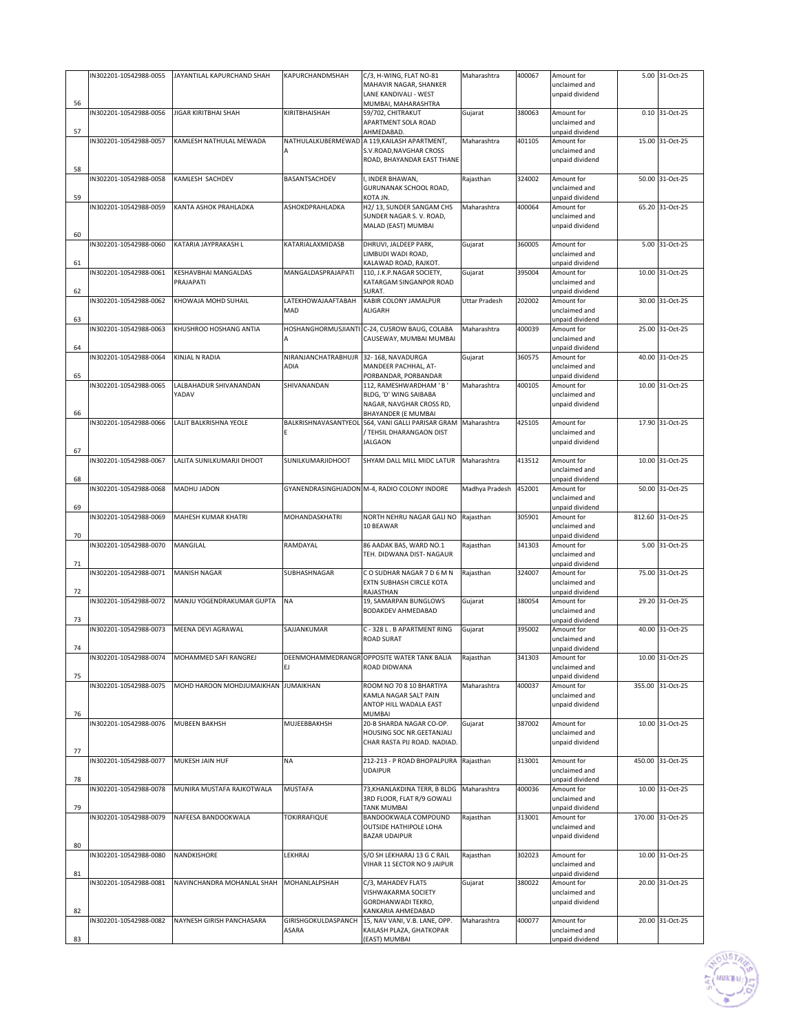| 56 | IN302201-10542988-0055 | JAYANTILAL KAPURCHAND SHAH          | KAPURCHANDMSHAH              | C/3, H-WING, FLAT NO-81<br>MAHAVIR NAGAR, SHANKER<br>LANE KANDIVALI - WEST<br>MUMBAI, MAHARASHTRA     | Maharashtra    | 400067 | Amount for<br>unclaimed and<br>unpaid dividend |        | 5.00 31-Oct-25   |
|----|------------------------|-------------------------------------|------------------------------|-------------------------------------------------------------------------------------------------------|----------------|--------|------------------------------------------------|--------|------------------|
| 57 | IN302201-10542988-0056 | <b>JIGAR KIRITBHAI SHAH</b>         | KIRITBHAISHAH                | 59/702, CHITRAKUT<br>APARTMENT SOLA ROAD<br>AHMEDABAD.                                                | Gujarat        | 380063 | Amount for<br>unclaimed and<br>unpaid dividend | 0.10   | 31-Oct-25        |
| 58 | IN302201-10542988-0057 | KAMLESH NATHULAL MEWADA             |                              | NATHULALKUBERMEWAD A 119, KAILASH APARTMENT,<br>S.V.ROAD, NAVGHAR CROSS<br>ROAD, BHAYANDAR EAST THANE | Maharashtra    | 401105 | Amount for<br>unclaimed and<br>unpaid dividend |        | 15.00 31-Oct-25  |
| 59 | IN302201-10542988-0058 | KAMLESH SACHDEV                     | BASANTSACHDEV                | I, INDER BHAWAN,<br>GURUNANAK SCHOOL ROAD,<br>KOTA JN.                                                | Rajasthan      | 324002 | Amount for<br>unclaimed and<br>unpaid dividend |        | 50.00 31-Oct-25  |
| 60 | IN302201-10542988-0059 | KANTA ASHOK PRAHLADKA               | ASHOKDPRAHLADKA              | H2/13, SUNDER SANGAM CHS<br>SUNDER NAGAR S. V. ROAD,<br>MALAD (EAST) MUMBAI                           | Maharashtra    | 400064 | Amount for<br>unclaimed and<br>unpaid dividend |        | 65.20 31-Oct-25  |
| 61 | IN302201-10542988-0060 | KATARIA JAYPRAKASH L                | KATARIALAXMIDASB             | DHRUVI, JALDEEP PARK,<br>LIMBUDI WADI ROAD,<br>KALAWAD ROAD, RAJKOT.                                  | Gujarat        | 360005 | Amount for<br>unclaimed and<br>unpaid dividend |        | 5.00 31-Oct-25   |
| 62 | IN302201-10542988-0061 | KESHAVBHAI MANGALDAS<br>PRAJAPATI   | MANGALDASPRAJAPATI           | 110, J.K.P.NAGAR SOCIETY,<br>KATARGAM SINGANPOR ROAD<br>SURAT.                                        | Gujarat        | 395004 | Amount for<br>unclaimed and<br>unpaid dividend |        | 10.00 31-Oct-25  |
| 63 | IN302201-10542988-0062 | KHOWAJA MOHD SUHAIL                 | LATEKHOWAJAAFTABAH<br>MAD    | KABIR COLONY JAMALPUR<br>ALIGARH                                                                      | Uttar Pradesh  | 202002 | Amount for<br>unclaimed and<br>unpaid dividend | 30.00  | 31-Oct-25        |
| 64 | IN302201-10542988-0063 | KHUSHROO HOSHANG ANTIA              |                              | HOSHANGHORMUSJIANTI C-24, CUSROW BAUG, COLABA<br>CAUSEWAY, MUMBAI MUMBAI                              | Maharashtra    | 400039 | Amount for<br>unclaimed and<br>unpaid dividend |        | 25.00 31-Oct-25  |
| 65 | IN302201-10542988-0064 | KINJAL N RADIA                      | NIRANJANCHATRABHUJR<br>ADIA  | 32-168, NAVADURGA<br>MANDEER PACHHAL, AT-<br>PORBANDAR, PORBANDAR                                     | Gujarat        | 360575 | Amount for<br>unclaimed and<br>unpaid dividend |        | 40.00 31-Oct-25  |
| 66 | IN302201-10542988-0065 | LALBAHADUR SHIVANANDAN<br>YADAV     | SHIVANANDAN                  | 112, RAMESHWARDHAM ' B '<br>BLDG, 'D' WING SAIBABA<br>NAGAR, NAVGHAR CROSS RD,<br>BHAYANDER (E MUMBAI | Maharashtra    | 400105 | Amount for<br>unclaimed and<br>unpaid dividend |        | 10.00 31-Oct-25  |
| 67 | IN302201-10542988-0066 | LALIT BALKRISHNA YEOLE              | BALKRISHNAVASANTYEOL         | 564, VANI GALLI PARISAR GRAM<br>TEHSIL DHARANGAON DIST<br><b>JALGAON</b>                              | Maharashtra    | 425105 | Amount for<br>unclaimed and<br>unpaid dividend |        | 17.90 31-Oct-25  |
| 68 | IN302201-10542988-0067 | LALITA SUNILKUMARJI DHOOT           | SUNILKUMARJIDHOOT            | SHYAM DALL MILL MIDC LATUR                                                                            | Maharashtra    | 413512 | Amount for<br>unclaimed and<br>unpaid dividend |        | 10.00 31-Oct-25  |
| 69 | IN302201-10542988-0068 | MADHU JADON                         |                              | GYANENDRASINGHJADON M-4, RADIO COLONY INDORE                                                          | Madhya Pradesh | 452001 | Amount for<br>unclaimed and<br>unpaid dividend |        | 50.00 31-Oct-25  |
| 70 | IN302201-10542988-0069 | MAHESH KUMAR KHATRI                 | MOHANDASKHATRI               | NORTH NEHRU NAGAR GALI NO<br>10 BEAWAR                                                                | Rajasthan      | 305901 | Amount for<br>unclaimed and<br>unpaid dividend | 812.60 | 31-Oct-25        |
| 71 | IN302201-10542988-0070 | MANGILAL                            | RAMDAYAL                     | 86 AADAK BAS, WARD NO.1<br>TEH. DIDWANA DIST- NAGAUR                                                  | Rajasthan      | 341303 | Amount for<br>unclaimed and<br>unpaid dividend | 5.00   | 31-Oct-25        |
| 72 | IN302201-10542988-0071 | <b>MANISH NAGAR</b>                 | SUBHASHNAGAR                 | CO SUDHAR NAGAR 7 D 6 M N<br>EXTN SUBHASH CIRCLE KOTA<br>RAJASTHAN                                    | Rajasthan      | 324007 | Amount for<br>unclaimed and<br>unpaid dividend | 75.00  | 31-Oct-25        |
| 73 | IN302201-10542988-0072 | MANJU YOGENDRAKUMAR GUPTA           | NA                           | 19, SAMARPAN BUNGLOWS<br><b>BODAKDEV AHMEDABAD</b>                                                    | Gujarat        | 380054 | Amount for<br>unclaimed and<br>unpaid dividend | 29.20  | 31-Oct-25        |
| 74 | IN302201-10542988-0073 | MEENA DEVI AGRAWAL                  | SAJJANKUMAR                  | C - 328 L. B APARTMENT RING<br><b>ROAD SURAT</b>                                                      | Gujarat        | 395002 | Amount for<br>unclaimed and<br>unpaid dividend | 40.00  | 31-Oct-25        |
| 75 | IN302201-10542988-0074 | MOHAMMED SAFI RANGREJ               | EJ                           | DEENMOHAMMEDRANGR OPPOSITE WATER TANK BALIA<br>ROAD DIDWANA                                           | Rajasthan      | 341303 | Amount for<br>unclaimed and<br>unpaid dividend |        | 10.00 31-Oct-25  |
| 76 | IN302201-10542988-0075 | MOHD HAROON MOHDJUMAIKHAN JUMAIKHAN |                              | ROOM NO 70 8 10 BHARTIYA<br>KAMLA NAGAR SALT PAIN<br>ANTOP HILL WADALA EAST<br>MUMBAI                 | Maharashtra    | 400037 | Amount for<br>unclaimed and<br>unpaid dividend |        | 355.00 31-Oct-25 |
| 77 | IN302201-10542988-0076 | <b>MUBEEN BAKHSH</b>                | MUJEEBBAKHSH                 | 20-B SHARDA NAGAR CO-OP.<br>HOUSING SOC NR.GEETANJALI<br>CHAR RASTA PIJ ROAD. NADIAD.                 | Gujarat        | 387002 | Amount for<br>unclaimed and<br>unpaid dividend |        | 10.00 31-Oct-25  |
| 78 | IN302201-10542988-0077 | MUKESH JAIN HUF                     | <b>NA</b>                    | 212-213 - P ROAD BHOPALPURA<br><b>UDAIPUR</b>                                                         | Rajasthan      | 313001 | Amount for<br>unclaimed and<br>unpaid dividend |        | 450.00 31-Oct-25 |
| 79 | IN302201-10542988-0078 | MUNIRA MUSTAFA RAJKOTWALA           | <b>MUSTAFA</b>               | 73, KHANLAKDINA TERR, B BLDG<br>3RD FLOOR, FLAT R/9 GOWALI<br>TANK MUMBAI                             | Maharashtra    | 400036 | Amount for<br>unclaimed and<br>unpaid dividend |        | 10.00 31-Oct-25  |
| 80 | IN302201-10542988-0079 | NAFEESA BANDOOKWALA                 | TOKIRRAFIQUE                 | BANDOOKWALA COMPOUND<br>OUTSIDE HATHIPOLE LOHA<br><b>BAZAR UDAIPUR</b>                                | Rajasthan      | 313001 | Amount for<br>unclaimed and<br>unpaid dividend | 170.00 | 31-Oct-25        |
| 81 | IN302201-10542988-0080 | NANDKISHORE                         | LEKHRAJ                      | S/O SH LEKHARAJ 13 G C RAIL<br>VIHAR 11 SECTOR NO 9 JAIPUR                                            | Rajasthan      | 302023 | Amount for<br>unclaimed and<br>unpaid dividend |        | 10.00 31-Oct-25  |
| 82 | IN302201-10542988-0081 | NAVINCHANDRA MOHANLAL SHAH          | MOHANLALPSHAH                | C/3, MAHADEV FLATS<br>VISHWAKARMA SOCIETY<br>GORDHANWADI TEKRO,<br>KANKARIA AHMEDABAD                 | Gujarat        | 380022 | Amount for<br>unclaimed and<br>unpaid dividend |        | 20.00 31-Oct-25  |
| 83 | IN302201-10542988-0082 | NAYNESH GIRISH PANCHASARA           | GIRISHGOKULDASPANCH<br>ASARA | 15, NAV VANI, V.B. LANE, OPP.<br>KAILASH PLAZA, GHATKOPAR<br>(EAST) MUMBAI                            | Maharashtra    | 400077 | Amount for<br>unclaimed and<br>unpaid dividend |        | 20.00 31-Oct-25  |

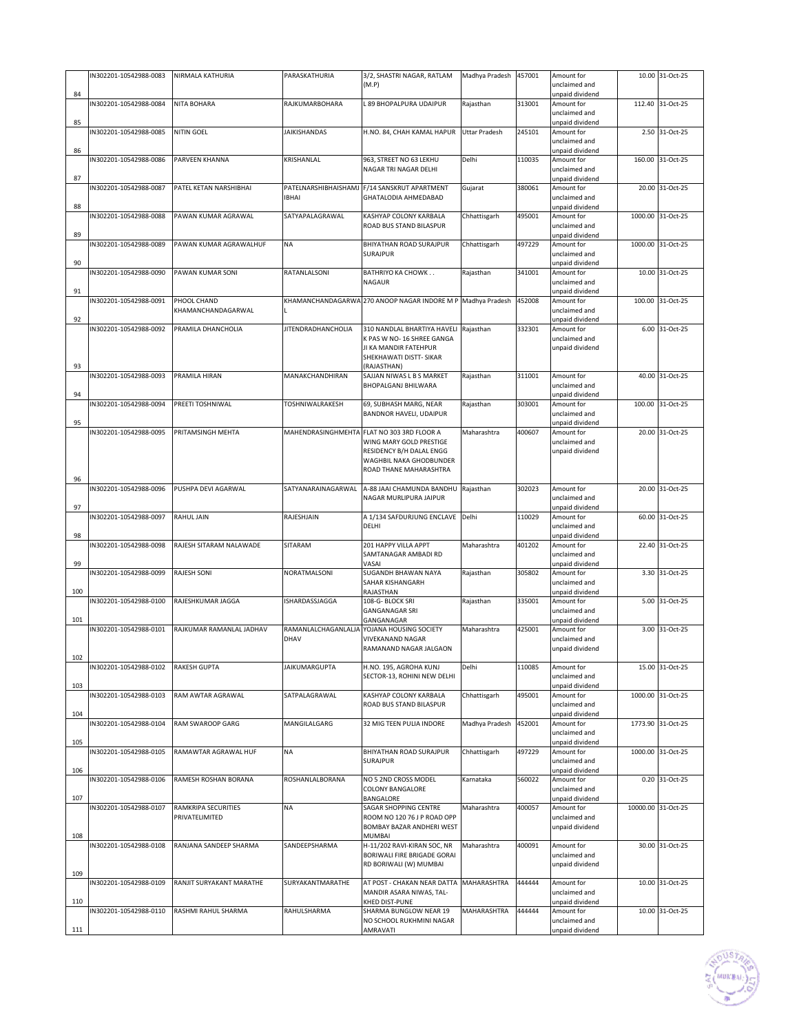|     | IN302201-10542988-0083 | NIRMALA KATHURIA                      | PARASKATHURIA                        | 3/2, SHASTRI NAGAR, RATLAM<br>(M.P)                                                                      | Madhya Pradesh | 457001 | Amount for<br>unclaimed and                    |                    | 10.00 31-Oct-25   |
|-----|------------------------|---------------------------------------|--------------------------------------|----------------------------------------------------------------------------------------------------------|----------------|--------|------------------------------------------------|--------------------|-------------------|
| 84  |                        |                                       |                                      |                                                                                                          |                |        | unpaid dividend                                |                    |                   |
| 85  | IN302201-10542988-0084 | NITA BOHARA                           | RAJKUMARBOHARA                       | L 89 BHOPALPURA UDAIPUR                                                                                  | Rajasthan      | 313001 | Amount for<br>unclaimed and<br>unpaid dividend | 112.40             | 31-Oct-25         |
| 86  | IN302201-10542988-0085 | <b>NITIN GOEL</b>                     | <b>JAIKISHANDAS</b>                  | H.NO. 84, CHAH KAMAL HAPUR                                                                               | Uttar Pradesh  | 245101 | Amount for<br>unclaimed and<br>unpaid dividend |                    | 2.50 31-Oct-25    |
|     | IN302201-10542988-0086 | PARVEEN KHANNA                        | KRISHANLAL                           | 963, STREET NO 63 LEKHU<br>NAGAR TRI NAGAR DELHI                                                         | Delhi          | 110035 | Amount for<br>unclaimed and                    | 160.00             | 31-Oct-25         |
| 87  | IN302201-10542988-0087 | PATEL KETAN NARSHIBHAI                | PATELNARSHIBHAISHAMJ<br><b>IBHAI</b> | F/14 SANSKRUT APARTMENT<br>GHATALODIA AHMEDABAD                                                          | Gujarat        | 380061 | unpaid dividend<br>Amount for<br>unclaimed and |                    | 20.00 31-Oct-25   |
| 88  | IN302201-10542988-0088 | PAWAN KUMAR AGRAWAL                   | SATYAPALAGRAWAL                      | KASHYAP COLONY KARBALA<br>ROAD BUS STAND BILASPUR                                                        | Chhattisgarh   | 495001 | unpaid dividend<br>Amount for<br>unclaimed and | 1000.00            | 31-Oct-25         |
| 89  | IN302201-10542988-0089 | PAWAN KUMAR AGRAWALHUF                | <b>NA</b>                            | BHIYATHAN ROAD SURAJPUR                                                                                  | Chhattisgarh   | 497229 | unpaid dividend<br>Amount for                  |                    | 1000.00 31-Oct-25 |
| 90  | IN302201-10542988-0090 | PAWAN KUMAR SONI                      | RATANLALSONI                         | <b>SURAJPUR</b><br>BATHRIYO KA CHOWK                                                                     | Rajasthan      | 341001 | unclaimed and<br>unpaid dividend<br>Amount for |                    | 10.00 31-Oct-25   |
| 91  |                        |                                       |                                      | <b>NAGAUR</b>                                                                                            |                | 452008 | unclaimed and<br>unpaid dividend               |                    |                   |
| 92  | IN302201-10542988-0091 | PHOOL CHAND<br>KHAMANCHANDAGARWAL     |                                      | KHAMANCHANDAGARWA 270 ANOOP NAGAR INDORE M P                                                             | Madhya Pradesh |        | Amount for<br>unclaimed and<br>unpaid dividend | 100.00             | 31-Oct-25         |
|     | IN302201-10542988-0092 | PRAMILA DHANCHOLIA                    | <b>JITENDRADHANCHOLIA</b>            | 310 NANDLAL BHARTIYA HAVELI                                                                              | Rajasthan      | 332301 | Amount for                                     |                    | 6.00 31-Oct-25    |
| 93  |                        |                                       |                                      | K PAS W NO- 16 SHREE GANGA<br>JI KA MANDIR FATEHPUR<br>SHEKHAWATI DISTT- SIKAR<br>(RAJASTHAN)            |                |        | unclaimed and<br>unpaid dividend               |                    |                   |
| 94  | IN302201-10542988-0093 | PRAMILA HIRAN                         | MANAKCHANDHIRAN                      | SAJJAN NIWAS L B S MARKET<br>BHOPALGANJ BHILWARA                                                         | Rajasthan      | 311001 | Amount for<br>unclaimed and<br>unpaid dividend |                    | 40.00 31-Oct-25   |
|     | IN302201-10542988-0094 | PREETI TOSHNIWAL                      | <b>TOSHNIWALRAKESH</b>               | 69, SUBHASH MARG, NEAR<br>BANDNOR HAVELI, UDAIPUR                                                        | Rajasthan      | 303001 | Amount for<br>unclaimed and                    |                    | 100.00 31-Oct-25  |
| 95  | IN302201-10542988-0095 | PRITAMSINGH MEHTA                     | MAHENDRASINGHMEHTA                   | FLAT NO 303 3RD FLOOR A                                                                                  | Maharashtra    | 400607 | unpaid dividend<br>Amount for                  |                    | 20.00 31-Oct-25   |
|     |                        |                                       |                                      | WING MARY GOLD PRESTIGE<br>RESIDENCY B/H DALAL ENGG<br>WAGHBIL NAKA GHODBUNDER<br>ROAD THANE MAHARASHTRA |                |        | unclaimed and<br>unpaid dividend               |                    |                   |
| 96  | IN302201-10542988-0096 | PUSHPA DEVI AGARWAL                   | SATYANARAINAGARWAL                   | A-88 JAAI CHAMUNDA BANDHU<br>NAGAR MURLIPURA JAIPUR                                                      | Rajasthan      | 302023 | Amount for<br>unclaimed and                    |                    | 20.00 31-Oct-25   |
| 97  | IN302201-10542988-0097 | <b>RAHUL JAIN</b>                     | RAJESHJAIN                           | A 1/134 SAFDURJUNG ENCLAVE<br>DELHI                                                                      | Delhi          | 110029 | unpaid dividend<br>Amount for<br>unclaimed and | 60.00              | 31-Oct-25         |
| 98  |                        |                                       |                                      |                                                                                                          |                |        | unpaid dividend                                |                    |                   |
| 99  | IN302201-10542988-0098 | RAJESH SITARAM NALAWADE               | SITARAM                              | 201 HAPPY VILLA APPT<br>SAMTANAGAR AMBADI RD<br>VASAI                                                    | Maharashtra    | 401202 | Amount for<br>unclaimed and<br>unpaid dividend | 22.40              | 31-Oct-25         |
| 100 | IN302201-10542988-0099 | <b>RAJESH SONI</b>                    | NORATMALSONI                         | SUGANDH BHAWAN NAYA<br>SAHAR KISHANGARH<br>RAJASTHAN                                                     | Rajasthan      | 305802 | Amount for<br>unclaimed and<br>unpaid dividend |                    | 3.30 31-Oct-25    |
| 101 | IN302201-10542988-0100 | RAJESHKUMAR JAGGA                     | ISHARDASSJAGGA                       | 108-G- BLOCK SRI<br><b>GANGANAGAR SRI</b><br>GANGANAGAR                                                  | Rajasthan      | 335001 | Amount for<br>unclaimed and<br>unpaid dividend |                    | 5.00 31-Oct-25    |
|     | IN302201-10542988-0101 | RAJKUMAR RAMANLAL JADHAV              | RAMANLALCHAGANLALJA<br>DHAV          | YOJANA HOUSING SOCIETY<br><b>VIVEKANAND NAGAR</b><br>RAMANAND NAGAR JALGAON                              | Maharashtra    | 425001 | Amount for<br>unclaimed and<br>unpaid dividend |                    | 3.00 31-Oct-25    |
| 102 | IN302201-10542988-0102 | <b>RAKESH GUPTA</b>                   | <b>JAIKUMARGUPTA</b>                 | H.NO. 195, AGROHA KUNJ<br>SECTOR-13, ROHINI NEW DELHI                                                    | Delhi          | 110085 | Amount for<br>unclaimed and                    | 15.00              | 31-Oct-25         |
| 103 | IN302201-10542988-0103 | RAM AWTAR AGRAWAL                     | SATPALAGRAWAL                        | KASHYAP COLONY KARBALA<br>ROAD BUS STAND BILASPUR                                                        | Chhattisgarh   | 495001 | unpaid dividend<br>Amount for<br>unclaimed and |                    | 1000.00 31-Oct-25 |
| 104 | IN302201-10542988-0104 | RAM SWAROOP GARG                      | MANGILALGARG                         | 32 MIG TEEN PULIA INDORE                                                                                 | Madhya Pradesh | 452001 | unpaid dividend<br>Amount for<br>unclaimed and | 1773.90            | 31-Oct-25         |
| 105 |                        | RAMAWTAR AGRAWAL HUF                  |                                      |                                                                                                          |                | 497229 | unpaid dividend<br>Amount for                  |                    |                   |
| 106 | IN302201-10542988-0105 |                                       | NA                                   | BHIYATHAN ROAD SURAJPUR<br>SURAJPUR                                                                      | Chhattisgarh   |        | unclaimed and<br>unpaid dividend               |                    | 1000.00 31-Oct-25 |
| 107 | IN302201-10542988-0106 | RAMESH ROSHAN BORANA                  | ROSHANLALBORANA                      | NO 5 2ND CROSS MODEL<br><b>COLONY BANGALORE</b><br>BANGALORE                                             | Karnataka      | 560022 | Amount for<br>unclaimed and<br>unpaid dividend | 0.20               | 31-Oct-25         |
| 108 | IN302201-10542988-0107 | RAMKRIPA SECURITIES<br>PRIVATELIMITED | <b>NA</b>                            | SAGAR SHOPPING CENTRE<br>ROOM NO 120 76 J P ROAD OPP<br>BOMBAY BAZAR ANDHERI WEST<br>MUMBAI              | Maharashtra    | 400057 | Amount for<br>unclaimed and<br>unpaid dividend | 10000.00 31-Oct-25 |                   |
| 109 | IN302201-10542988-0108 | RANJANA SANDEEP SHARMA                | SANDEEPSHARMA                        | H-11/202 RAVI-KIRAN SOC, NR<br>BORIWALI FIRE BRIGADE GORAI<br>RD BORIWALI (W) MUMBAI                     | Maharashtra    | 400091 | Amount for<br>unclaimed and<br>unpaid dividend |                    | 30.00 31-Oct-25   |
| 110 | IN302201-10542988-0109 | RANJIT SURYAKANT MARATHE              | SURYAKANTMARATHE                     | AT POST - CHAKAN NEAR DATTA<br>MANDIR ASARA NIWAS, TAL-<br>KHED DIST-PUNE                                | MAHARASHTRA    | 444444 | Amount for<br>unclaimed and<br>unpaid dividend |                    | 10.00 31-Oct-25   |
|     | IN302201-10542988-0110 | RASHMI RAHUL SHARMA                   | RAHULSHARMA                          | SHARMA BUNGLOW NEAR 19                                                                                   | MAHARASHTRA    | 444444 | Amount for                                     | 10.00              | 31-Oct-25         |
| 111 |                        |                                       |                                      | NO SCHOOL RUKHMINI NAGAR<br>AMRAVATI                                                                     |                |        | unclaimed and<br>unpaid dividend               |                    |                   |

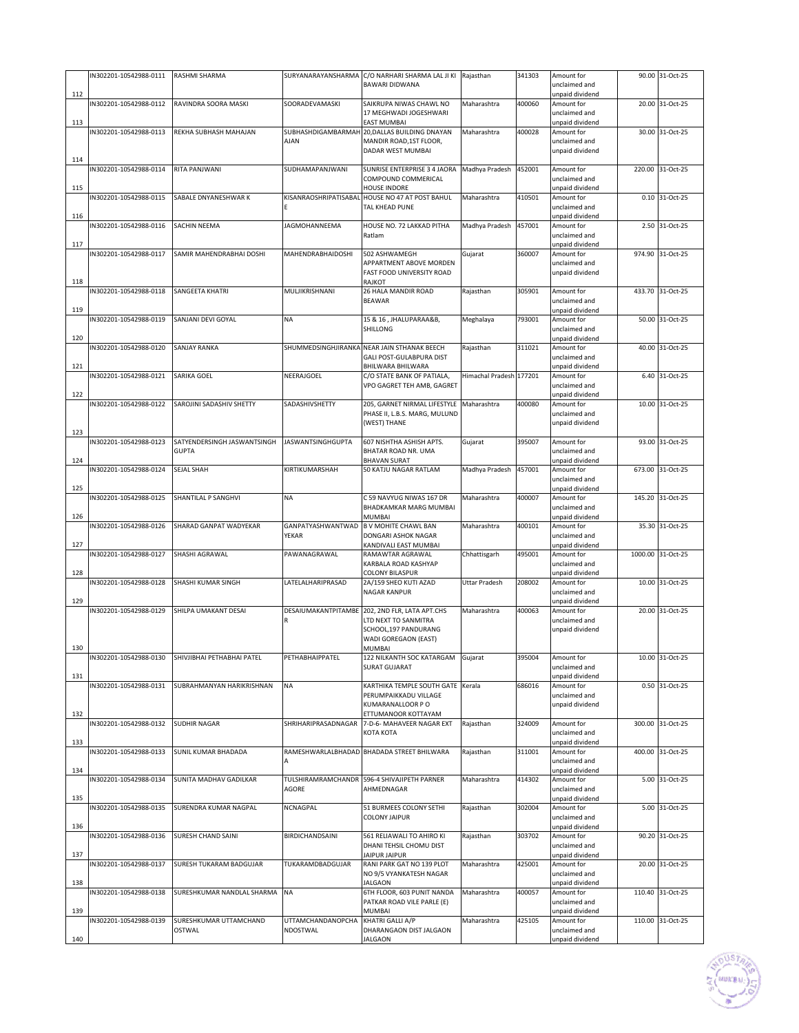| 112 | IN302201-10542988-0111 | RASHMI SHARMA                               | SURYANARAYANSHARMA                   | C/O NARHARI SHARMA LAL JI KI Rajasthan<br><b>BAWARI DIDWANA</b>                                                      |                         | 341303 | Amount for<br>unclaimed and<br>unpaid dividend |        | 90.00 31-Oct-25   |
|-----|------------------------|---------------------------------------------|--------------------------------------|----------------------------------------------------------------------------------------------------------------------|-------------------------|--------|------------------------------------------------|--------|-------------------|
| 113 | IN302201-10542988-0112 | RAVINDRA SOORA MASKI                        | SOORADEVAMASKI                       | SAIKRUPA NIWAS CHAWL NO<br>17 MEGHWADI JOGESHWARI<br><b>EAST MUMBAI</b>                                              | Maharashtra             | 400060 | Amount for<br>unclaimed and<br>unpaid dividend |        | 20.00 31-Oct-25   |
|     | IN302201-10542988-0113 | REKHA SUBHASH MAHAJAN                       | SUBHASHDIGAMBARMAF                   | 20, DALLAS BUILDING DNAYAN                                                                                           | Maharashtra             | 400028 | Amount for                                     |        | 30.00 31-Oct-25   |
| 114 |                        |                                             | AJAN                                 | MANDIR ROAD, 1ST FLOOR,<br>DADAR WEST MUMBAI                                                                         |                         |        | unclaimed and<br>unpaid dividend               |        |                   |
|     | IN302201-10542988-0114 | RITA PANJWANI                               | <b>SUDHAMAPANJWANI</b>               | SUNRISE ENTERPRISE 3 4 JAORA                                                                                         | Madhya Pradesh          | 452001 | Amount for                                     |        | 220.00 31-Oct-25  |
| 115 |                        |                                             |                                      | COMPOUND COMMERICAL<br><b>HOUSE INDORE</b>                                                                           |                         |        | unclaimed and<br>unpaid dividend               |        |                   |
| 116 | IN302201-10542988-0115 | SABALE DNYANESHWAR K                        | KISANRAOSHRIPATISABAI                | HOUSE NO 47 AT POST BAHUL<br>TAL KHEAD PUNE                                                                          | Maharashtra             | 410501 | Amount for<br>unclaimed and<br>unpaid dividend |        | 0.10 31-Oct-25    |
| 117 | N302201-10542988-0116  | SACHIN NEEMA                                | JAGMOHANNEEMA                        | HOUSE NO. 72 LAKKAD PITHA<br>Ratlam                                                                                  | Madhya Pradesh          | 457001 | Amount for<br>unclaimed and<br>unpaid dividend |        | 2.50 31-Oct-25    |
|     | IN302201-10542988-0117 | SAMIR MAHENDRABHAI DOSHI                    | MAHENDRABHAIDOSHI                    | 502 ASHWAMEGH<br>APPARTMENT ABOVE MORDEN<br>FAST FOOD UNIVERSITY ROAD                                                | Gujarat                 | 360007 | Amount for<br>unclaimed and<br>unpaid dividend | 974.90 | 31-Oct-25         |
| 118 | IN302201-10542988-0118 | SANGEETA KHATRI                             | MULJIKRISHNANI                       | <b>RAJKOT</b><br>26 HALA MANDIR ROAD                                                                                 | Rajasthan               | 305901 | Amount for                                     |        | 433.70 31-Oct-25  |
| 119 |                        |                                             |                                      | <b>BEAWAR</b>                                                                                                        |                         |        | unclaimed and<br>unpaid dividend               |        |                   |
| 120 | IN302201-10542988-0119 | SANJANI DEVI GOYAL                          | ΝA                                   | 15 & 16, JHALUPARAA&B,<br>SHILLONG                                                                                   | Meghalaya               | 793001 | Amount for<br>unclaimed and<br>unpaid dividend |        | 50.00 31-Oct-25   |
|     | IN302201-10542988-0120 | <b>SANJAY RANKA</b>                         |                                      | SHUMMEDSINGHJIRANKA NEAR JAIN STHANAK BEECH                                                                          | Rajasthan               | 311021 | Amount for                                     |        | 40.00 31-Oct-25   |
| 121 |                        |                                             |                                      | GALI POST-GULABPURA DIST<br>BHILWARA BHILWARA                                                                        |                         |        | unclaimed and<br>unpaid dividend               |        |                   |
|     | IN302201-10542988-0121 | SARIKA GOEL                                 | NEERAJGOEL                           | C/O STATE BANK OF PATIALA,<br>VPO GAGRET TEH AMB, GAGRET                                                             | Himachal Pradesh 177201 |        | Amount for<br>unclaimed and                    |        | 6.40 31-Oct-25    |
| 122 |                        |                                             |                                      |                                                                                                                      |                         |        | unpaid dividend                                |        |                   |
| 123 | IN302201-10542988-0122 | SAROJINI SADASHIV SHETTY                    | SADASHIVSHETTY                       | 205, GARNET NIRMAL LIFESTYLE<br>PHASE II, L.B.S. MARG, MULUND<br>(WEST) THANE                                        | Maharashtra             | 400080 | Amount for<br>unclaimed and<br>unpaid dividend |        | 10.00 31-Oct-25   |
|     | IN302201-10542988-0123 | SATYENDERSINGH JASWANTSINGH<br><b>GUPTA</b> | <b>JASWANTSINGHGUPTA</b>             | 607 NISHTHA ASHISH APTS.<br>BHATAR ROAD NR. UMA                                                                      | Gujarat                 | 395007 | Amount for<br>unclaimed and                    |        | 93.00 31-Oct-25   |
| 124 |                        |                                             |                                      | <b>BHAVAN SURAT</b>                                                                                                  |                         |        | unpaid dividend                                |        |                   |
| 125 | IN302201-10542988-0124 | SEJAL SHAH                                  | KIRTIKUMARSHAH                       | 50 KATJU NAGAR RATLAM                                                                                                | Madhya Pradesh          | 457001 | Amount for<br>unclaimed and<br>unpaid dividend | 673.00 | 31-Oct-25         |
|     | IN302201-10542988-0125 | SHANTILAL P SANGHVI                         | <b>NA</b>                            | C 59 NAVYUG NIWAS 167 DR<br>BHADKAMKAR MARG MUMBAI                                                                   | Maharashtra             | 400007 | Amount for<br>unclaimed and                    |        | 145.20 31-Oct-25  |
| 126 | IN302201-10542988-0126 | SHARAD GANPAT WADYEKAR                      | GANPATYASHWANTWAD<br>YEKAR           | <b>MUMBAI</b><br>B V MOHITE CHAWL BAN<br>DONGARI ASHOK NAGAR                                                         | Maharashtra             | 400101 | unpaid dividend<br>Amount for<br>unclaimed and |        | 35.30 31-Oct-25   |
| 127 | IN302201-10542988-0127 | SHASHI AGRAWAL                              | PAWANAGRAWAL                         | KANDIVALI EAST MUMBAI<br>RAMAWTAR AGRAWAL<br>KARBALA ROAD KASHYAP                                                    | Chhattisgarh            | 495001 | unpaid dividend<br>Amount for<br>unclaimed and |        | 1000.00 31-Oct-25 |
| 128 | IN302201-10542988-0128 | SHASHI KUMAR SINGH                          | LATELALHARIPRASAD                    | COLONY BILASPUR<br>2A/159 SHEO KUTI AZAD                                                                             | <b>Uttar Pradesh</b>    | 208002 | unpaid dividend<br>Amount for                  |        | 10.00 31-Oct-25   |
| 129 |                        |                                             |                                      | <b>NAGAR KANPUR</b>                                                                                                  |                         |        | unclaimed and<br>unpaid dividend               |        |                   |
| 130 | IN302201-10542988-0129 | SHILPA UMAKANT DESAI                        | DESAIUMAKANTPITAMBE<br>R             | 202, 2ND FLR, LATA APT.CHS<br>LTD NEXT TO SANMITRA<br>SCHOOL, 197 PANDURANG<br>WADI GOREGAON (EAST)<br><b>MUMBAI</b> | Maharashtra             | 400063 | Amount for<br>unclaimed and<br>unpaid dividend |        | 20.00 31-Oct-25   |
| 131 | IN302201-10542988-0130 | SHIVJIBHAI PETHABHAI PATEL                  | PETHABHAIPPATEL                      | 122 NILKANTH SOC KATARGAM<br><b>SURAT GUJARAT</b>                                                                    | Gujarat                 | 395004 | Amount for<br>unclaimed and<br>unpaid dividend |        | 10.00 31-Oct-25   |
|     | IN302201-10542988-0131 | SUBRAHMANYAN HARIKRISHNAN                   | <b>NA</b>                            | KARTHIKA TEMPLE SOUTH GATE Kerala                                                                                    |                         | 686016 | Amount for                                     |        | 0.50 31-Oct-25    |
| 132 |                        |                                             |                                      | PERUMPAIKKADU VILLAGE<br>KUMARANALLOOR PO<br>ETTUMANOOR KOTTAYAM                                                     |                         |        | unclaimed and<br>unpaid dividend               |        |                   |
| 133 | IN302201-10542988-0132 | <b>SUDHIR NAGAR</b>                         | SHRIHARIPRASADNAGAR                  | 7-D-6- MAHAVEER NAGAR EXT<br>KOTA KOTA                                                                               | Rajasthan               | 324009 | Amount for<br>unclaimed and<br>unpaid dividend |        | 300.00 31-Oct-25  |
|     | IN302201-10542988-0133 | SUNIL KUMAR BHADADA                         | RAMESHWARLALBHADAD                   | BHADADA STREET BHILWARA                                                                                              | Rajasthan               | 311001 | Amount for<br>unclaimed and                    |        | 400.00 31-Oct-25  |
| 134 | IN302201-10542988-0134 | SUNITA MADHAV GADILKAR                      | AGORE                                | TULSHIRAMRAMCHANDR 596-4 SHIVAJIPETH PARNER<br>AHMEDNAGAR                                                            | Maharashtra             | 414302 | unpaid dividend<br>Amount for<br>unclaimed and |        | 5.00 31-Oct-25    |
| 135 | IN302201-10542988-0135 | SURENDRA KUMAR NAGPAL                       | NCNAGPAL                             | 51 BURMEES COLONY SETHI                                                                                              | Rajasthan               | 302004 | unpaid dividend<br>Amount for                  |        | 5.00 31-Oct-25    |
| 136 |                        |                                             |                                      | <b>COLONY JAIPUR</b>                                                                                                 |                         |        | unclaimed and<br>unpaid dividend               |        |                   |
| 137 | IN302201-10542988-0136 | SURESH CHAND SAINI                          | BIRDICHANDSAINI                      | 561 RELIAWALI TO AHIRO KI<br>DHANI TEHSIL CHOMU DIST<br>JAIPUR JAIPUR                                                | Rajasthan               | 303702 | Amount for<br>unclaimed and<br>unpaid dividend |        | 90.20 31-Oct-25   |
| 138 | IN302201-10542988-0137 | SURESH TUKARAM BADGUJAR                     | TUKARAMDBADGUJAR                     | RANI PARK GAT NO 139 PLOT<br>NO 9/5 VYANKATESH NAGAR                                                                 | Maharashtra             | 425001 | Amount for<br>unclaimed and                    |        | 20.00 31-Oct-25   |
|     | IN302201-10542988-0138 | SURESHKUMAR NANDLAL SHARMA                  | <b>NA</b>                            | <b>JALGAON</b><br>6TH FLOOR, 603 PUNIT NANDA<br>PATKAR ROAD VILE PARLE (E)                                           | Maharashtra             | 400057 | unpaid dividend<br>Amount for<br>unclaimed and |        | 110.40 31-Oct-25  |
| 139 | IN302201-10542988-0139 | SURESHKUMAR UTTAMCHAND<br><b>OSTWAL</b>     | <b>UTTAMCHANDANOPCHA</b><br>NDOSTWAL | <b>MUMBAI</b><br>KHATRI GALLI A/P<br>DHARANGAON DIST JALGAON                                                         | Maharashtra             | 425105 | unpaid dividend<br>Amount for<br>unclaimed and |        | 110.00 31-Oct-25  |
| 140 |                        |                                             |                                      | <b>JALGAON</b>                                                                                                       |                         |        | unpaid dividend                                |        |                   |